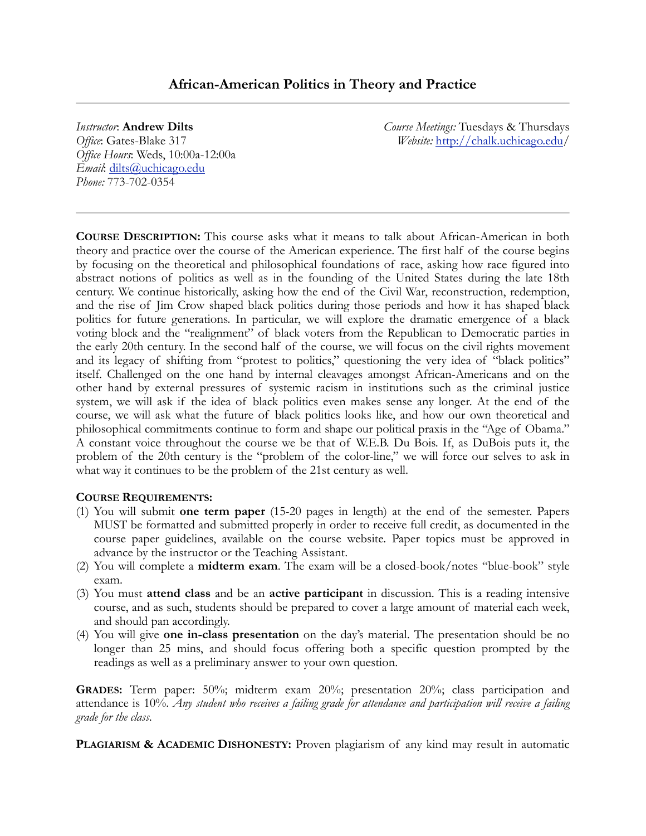# **African-American Politics in Theory and Practice**

#### *Instructor*: **Andrew Dilts**

*Office*: Gates-Blake 317 *Office Hours*: Weds, 10:00a-12:00a *Email*: [dilts@uchicago.edu](mailto:dilts@uchicago.edu) *Phone:* 773-702-0354

*Course Meetings:* Tuesdays & Thursdays *Website:* <http://chalk.uchicago.edu>/

**COURSE DESCRIPTION:** This course asks what it means to talk about African-American in both theory and practice over the course of the American experience. The first half of the course begins by focusing on the theoretical and philosophical foundations of race, asking how race figured into abstract notions of politics as well as in the founding of the United States during the late 18th century. We continue historically, asking how the end of the Civil War, reconstruction, redemption, and the rise of Jim Crow shaped black politics during those periods and how it has shaped black politics for future generations. In particular, we will explore the dramatic emergence of a black voting block and the "realignment" of black voters from the Republican to Democratic parties in the early 20th century. In the second half of the course, we will focus on the civil rights movement and its legacy of shifting from "protest to politics," questioning the very idea of "black politics" itself. Challenged on the one hand by internal cleavages amongst African-Americans and on the other hand by external pressures of systemic racism in institutions such as the criminal justice system, we will ask if the idea of black politics even makes sense any longer. At the end of the course, we will ask what the future of black politics looks like, and how our own theoretical and philosophical commitments continue to form and shape our political praxis in the "Age of Obama." A constant voice throughout the course we be that of W.E.B. Du Bois. If, as DuBois puts it, the problem of the 20th century is the "problem of the color-line," we will force our selves to ask in what way it continues to be the problem of the 21st century as well.

#### **COURSE REQUIREMENTS:**

- (1) You will submit **one term paper** (15-20 pages in length) at the end of the semester. Papers MUST be formatted and submitted properly in order to receive full credit, as documented in the course paper guidelines, available on the course website. Paper topics must be approved in advance by the instructor or the Teaching Assistant.
- (2) You will complete a **midterm exam**. The exam will be a closed-book/notes "blue-book" style exam.
- (3) You must **attend class** and be an **active participant** in discussion. This is a reading intensive course, and as such, students should be prepared to cover a large amount of material each week, and should pan accordingly.
- (4) You will give **one in-class presentation** on the day's material. The presentation should be no longer than 25 mins, and should focus offering both a specific question prompted by the readings as well as a preliminary answer to your own question.

**GRADES:** Term paper: 50%; midterm exam 20%; presentation 20%; class participation and attendance is 10%. *Any student who receives a failing grade for attendance and participation will receive a failing grade for the class*.

**PLAGIARISM & ACADEMIC DISHONESTY:** Proven plagiarism of any kind may result in automatic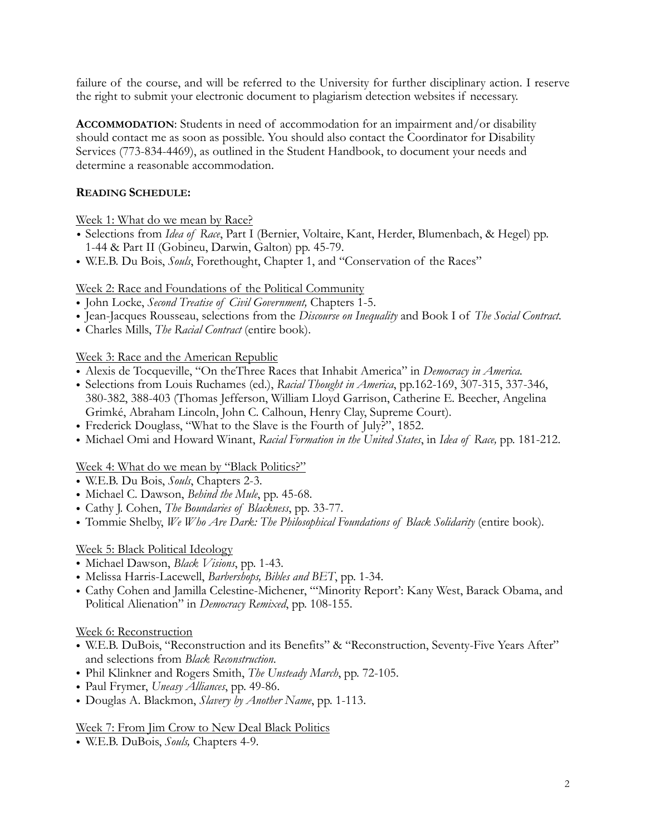failure of the course, and will be referred to the University for further disciplinary action. I reserve the right to submit your electronic document to plagiarism detection websites if necessary.

**ACCOMMODATION**: Students in need of accommodation for an impairment and/or disability should contact me as soon as possible. You should also contact the Coordinator for Disability Services (773-834-4469), as outlined in the Student Handbook, to document your needs and determine a reasonable accommodation.

# **READING SCHEDULE:**

Week 1: What do we mean by Race?

- *•* Selections from *Idea of Race*, Part I (Bernier, Voltaire, Kant, Herder, Blumenbach, & Hegel) pp. 1-44 & Part II (Gobineu, Darwin, Galton) pp. 45-79.
- W.E.B. Du Bois, *Souls*, Forethought, Chapter 1, and "Conservation of the Races"

# Week 2: Race and Foundations of the Political Community

- John Locke, *Second Treatise of Civil Government,* Chapters 1-5.
- Jean-Jacques Rousseau, selections from the *Discourse on Inequality* and Book I of *The Social Contract.*
- Charles Mills, *The Racial Contract* (entire book).

# Week 3: Race and the American Republic

- Alexis de Tocqueville, "On theThree Races that Inhabit America" in *Democracy in America.*
- Selections from Louis Ruchames (ed.), *Racial Thought in America*, pp.162-169, 307-315, 337-346, 380-382, 388-403 (Thomas Jefferson, William Lloyd Garrison, Catherine E. Beecher, Angelina Grimké, Abraham Lincoln, John C. Calhoun, Henry Clay, Supreme Court).
- Frederick Douglass, "What to the Slave is the Fourth of July?", 1852.
- Michael Omi and Howard Winant, *Racial Formation in the United States*, in *Idea of Race,* pp. 181-212.

### Week 4: What do we mean by "Black Politics?"

- W.E.B. Du Bois, *Souls*, Chapters 2-3.
- Michael C. Dawson, *Behind the Mule*, pp. 45-68.
- Cathy J. Cohen, *The Boundaries of Blackness*, pp. 33-77.
- Tommie Shelby, *We Who Are Dark: The Philosophical Foundations of Black Solidarity* (entire book).

# Week 5: Black Political Ideology

- Michael Dawson, *Black Visions*, pp. 1-43.
- Melissa Harris-Lacewell, *Barbershops, Bibles and BET*, pp. 1-34.
- Cathy Cohen and Jamilla Celestine-Michener, "'Minority Report': Kany West, Barack Obama, and Political Alienation" in *Democracy Remixed*, pp. 108-155.

### Week 6: Reconstruction

- W.E.B. DuBois, "Reconstruction and its Benefits" & "Reconstruction, Seventy-Five Years After" and selections from *Black Reconstruction*.
- Phil Klinkner and Rogers Smith, *The Unsteady March*, pp. 72-105.
- Paul Frymer, *Uneasy Alliances*, pp. 49-86.
- Douglas A. Blackmon, *Slavery by Another Name*, pp. 1-113.

### Week 7: From Jim Crow to New Deal Black Politics

• W.E.B. DuBois, *Souls,* Chapters 4-9.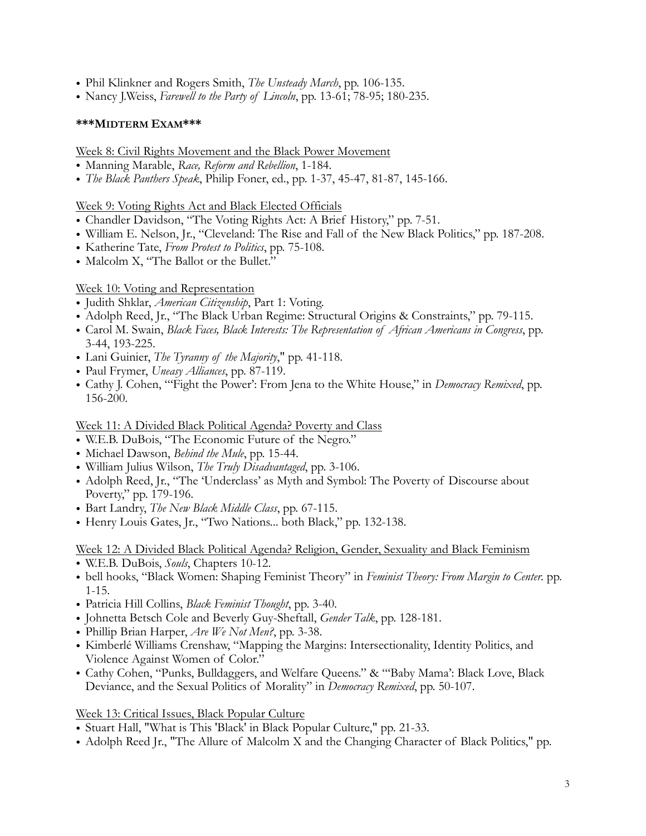- Phil Klinkner and Rogers Smith, *The Unsteady March*, pp. 106-135.
- Nancy J.Weiss, *Farewell to the Party of Lincoln*, pp. 13-61; 78-95; 180-235.

### **\*\*\*MIDTERM EXAM\*\*\***

Week 8: Civil Rights Movement and the Black Power Movement

- Manning Marable, *Race, Reform and Rebellion*, 1-184.
- *The Black Panthers Speak*, Philip Foner, ed., pp. 1-37, 45-47, 81-87, 145-166.

Week 9: Voting Rights Act and Black Elected Officials

- Chandler Davidson, "The Voting Rights Act: A Brief History," pp. 7-51.
- William E. Nelson, Jr., "Cleveland: The Rise and Fall of the New Black Politics," pp. 187-208.
- Katherine Tate, *From Protest to Politics*, pp. 75-108.
- Malcolm X, "The Ballot or the Bullet."

# Week 10: Voting and Representation

- Judith Shklar, *American Citizenship*, Part 1: Voting.
- Adolph Reed, Jr., "The Black Urban Regime: Structural Origins & Constraints," pp. 79-115.
- Carol M. Swain, *Black Faces, Black Interests: The Representation of African Americans in Congress*, pp. 3-44, 193-225.
- Lani Guinier, *The Tyranny of the Majority*," pp. 41-118.
- Paul Frymer, *Uneasy Alliances*, pp. 87-119.
- Cathy J. Cohen, "'Fight the Power': From Jena to the White House," in *Democracy Remixed*, pp. 156-200.

Week 11: A Divided Black Political Agenda? Poverty and Class

- W.E.B. DuBois, "The Economic Future of the Negro."
- Michael Dawson, *Behind the Mule*, pp. 15-44.
- William Julius Wilson, *The Truly Disadvantaged*, pp. 3-106.
- Adolph Reed, Jr., "The 'Underclass' as Myth and Symbol: The Poverty of Discourse about Poverty," pp. 179-196.
- Bart Landry, *The New Black Middle Class*, pp. 67-115.
- Henry Louis Gates, Jr., "Two Nations... both Black," pp. 132-138.

Week 12: A Divided Black Political Agenda? Religion, Gender, Sexuality and Black Feminism

- W.E.B. DuBois, *Souls*, Chapters 10-12.
- bell hooks, "Black Women: Shaping Feminist Theory" in *Feminist Theory: From Margin to Center.* pp. 1-15.
- Patricia Hill Collins, *Black Feminist Thought*, pp. 3-40.
- Johnetta Betsch Cole and Beverly Guy-Sheftall, *Gender Talk*, pp. 128-181.
- Phillip Brian Harper, *Are We Not Men?*, pp. 3-38.
- Kimberlé Williams Crenshaw, "Mapping the Margins: Intersectionality, Identity Politics, and Violence Against Women of Color."
- Cathy Cohen, "Punks, Bulldaggers, and Welfare Queens." & "'Baby Mama': Black Love, Black Deviance, and the Sexual Politics of Morality" in *Democracy Remixed*, pp. 50-107.

Week 13: Critical Issues, Black Popular Culture

- Stuart Hall, "What is This 'Black' in Black Popular Culture," pp. 21-33.
- Adolph Reed Jr., "The Allure of Malcolm X and the Changing Character of Black Politics," pp.